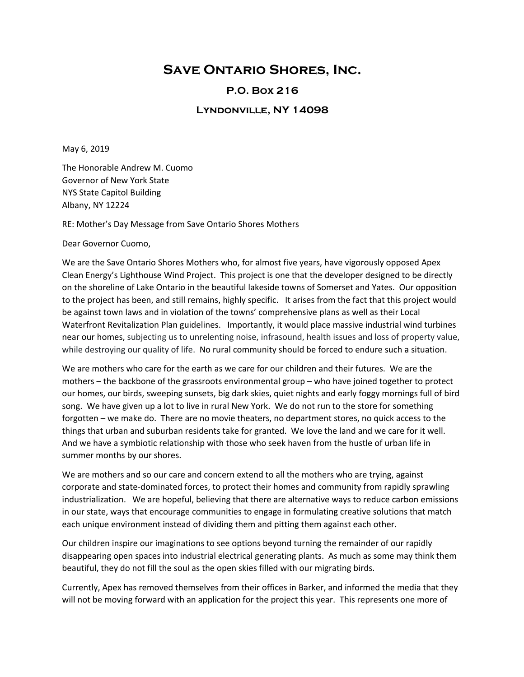## **Save Ontario Shores, Inc.**

## **P.O. Box 216**

## **Lyndonville, NY 14098**

May 6, 2019

The Honorable Andrew M. Cuomo Governor of New York State NYS State Capitol Building Albany, NY 12224

RE: Mother's Day Message from Save Ontario Shores Mothers

Dear Governor Cuomo,

We are the Save Ontario Shores Mothers who, for almost five years, have vigorously opposed Apex Clean Energy's Lighthouse Wind Project. This project is one that the developer designed to be directly on the shoreline of Lake Ontario in the beautiful lakeside towns of Somerset and Yates. Our opposition to the project has been, and still remains, highly specific. It arises from the fact that this project would be against town laws and in violation of the towns' comprehensive plans as well as their Local Waterfront Revitalization Plan guidelines. Importantly, it would place massive industrial wind turbines near our homes, subjecting us to unrelenting noise, infrasound, health issues and loss of property value, while destroying our quality of life. No rural community should be forced to endure such a situation.

We are mothers who care for the earth as we care for our children and their futures. We are the mothers – the backbone of the grassroots environmental group – who have joined together to protect our homes, our birds, sweeping sunsets, big dark skies, quiet nights and early foggy mornings full of bird song. We have given up a lot to live in rural New York. We do not run to the store for something forgotten – we make do. There are no movie theaters, no department stores, no quick access to the things that urban and suburban residents take for granted. We love the land and we care for it well. And we have a symbiotic relationship with those who seek haven from the hustle of urban life in summer months by our shores.

We are mothers and so our care and concern extend to all the mothers who are trying, against corporate and state-dominated forces, to protect their homes and community from rapidly sprawling industrialization. We are hopeful, believing that there are alternative ways to reduce carbon emissions in our state, ways that encourage communities to engage in formulating creative solutions that match each unique environment instead of dividing them and pitting them against each other.

Our children inspire our imaginations to see options beyond turning the remainder of our rapidly disappearing open spaces into industrial electrical generating plants. As much as some may think them beautiful, they do not fill the soul as the open skies filled with our migrating birds.

Currently, Apex has removed themselves from their offices in Barker, and informed the media that they will not be moving forward with an application for the project this year. This represents one more of